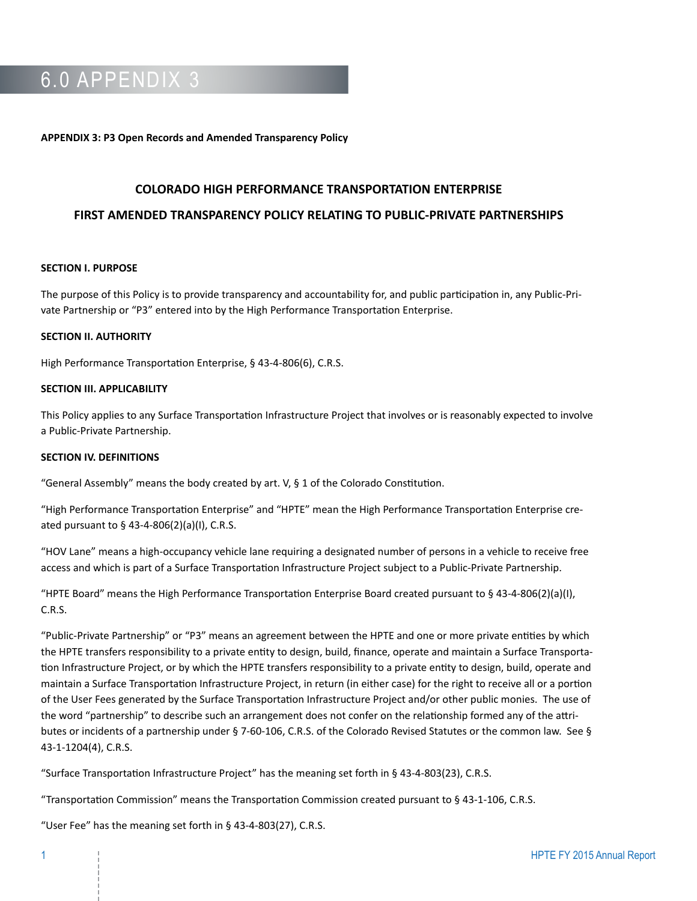## 6.0 APPENDIX 3

#### **APPENDIX 3: P3 Open Records and Amended Transparency Policy**

#### **COLORADO HIGH PERFORMANCE TRANSPORTATION ENTERPRISE**

#### **FIRST AMENDED TRANSPARENCY POLICY RELATING TO PUBLIC-PRIVATE PARTNERSHIPS**

### **SECTION I. PURPOSE**

The purpose of this Policy is to provide transparency and accountability for, and public participation in, any Public-Private Partnership or "P3" entered into by the High Performance Transportation Enterprise.

#### **SECTION II. AUTHORITY**

High Performance Transportation Enterprise, § 43-4-806(6), C.R.S.

### **SECTION III. APPLICABILITY**

This Policy applies to any Surface Transportation Infrastructure Project that involves or is reasonably expected to involve a Public-Private Partnership.

### **SECTION IV. DEFINITIONS**

"General Assembly" means the body created by art.  $V$ ,  $\S$  1 of the Colorado Constitution.

"High Performance Transportation Enterprise" and "HPTE" mean the High Performance Transportation Enterprise created pursuant to § 43-4-806(2)(a)(I), C.R.S.

"HOV Lane" means a high-occupancy vehicle lane requiring a designated number of persons in a vehicle to receive free access and which is part of a Surface Transportation Infrastructure Project subject to a Public-Private Partnership.

"HPTE Board" means the High Performance Transportation Enterprise Board created pursuant to § 43-4-806(2)(a)(I), C.R.S.

"Public-Private Partnership" or "P3" means an agreement between the HPTE and one or more private entities by which the HPTE transfers responsibility to a private entity to design, build, finance, operate and maintain a Surface Transportation Infrastructure Project, or by which the HPTE transfers responsibility to a private entity to design, build, operate and maintain a Surface Transportation Infrastructure Project, in return (in either case) for the right to receive all or a portion of the User Fees generated by the Surface Transportation Infrastructure Project and/or other public monies. The use of the word "partnership" to describe such an arrangement does not confer on the relationship formed any of the attributes or incidents of a partnership under § 7-60-106, C.R.S. of the Colorado Revised Statutes or the common law. See § 43-1-1204(4), C.R.S.

"Surface Transportation Infrastructure Project" has the meaning set forth in § 43-4-803(23), C.R.S.

"Transportation Commission" means the Transportation Commission created pursuant to § 43-1-106, C.R.S.

"User Fee" has the meaning set forth in § 43-4-803(27), C.R.S.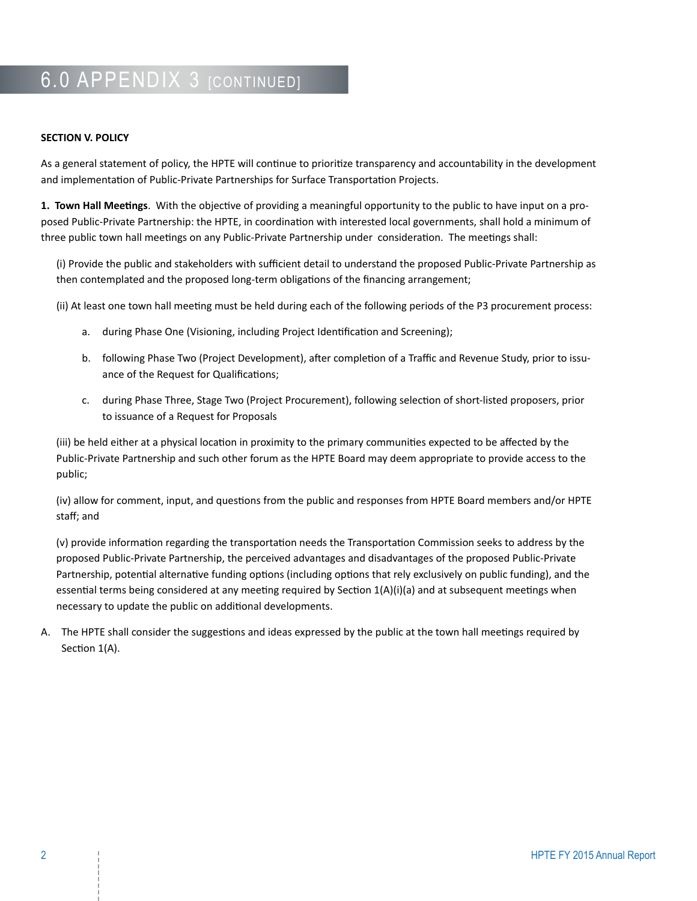# 6.0 APPENDIX 3 [CONTINUED]

## **SECTION V. POLICY**

As a general statement of policy, the HPTE will continue to prioritize transparency and accountability in the development and implementation of Public-Private Partnerships for Surface Transportation Projects.

**1. Town Hall Meetings**. With the objective of providing a meaningful opportunity to the public to have input on a proposed Public-Private Partnership: the HPTE, in coordination with interested local governments, shall hold a minimum of three public town hall meetings on any Public-Private Partnership under consideration. The meetings shall:

(i) Provide the public and stakeholders with sufficient detail to understand the proposed Public-Private Partnership as then contemplated and the proposed long-term obligations of the financing arrangement;

(ii) At least one town hall meeting must be held during each of the following periods of the P3 procurement process:

- a. during Phase One (Visioning, including Project Identification and Screening);
- b. following Phase Two (Project Development), after completion of a Traffic and Revenue Study, prior to issuance of the Request for Qualifications;
- c. during Phase Three, Stage Two (Project Procurement), following selection of short-listed proposers, prior to issuance of a Request for Proposals

(iii) be held either at a physical location in proximity to the primary communities expected to be affected by the Public-Private Partnership and such other forum as the HPTE Board may deem appropriate to provide access to the public;

(iv) allow for comment, input, and questions from the public and responses from HPTE Board members and/or HPTE staff; and

(v) provide information regarding the transportation needs the Transportation Commission seeks to address by the proposed Public-Private Partnership, the perceived advantages and disadvantages of the proposed Public-Private Partnership, potential alternative funding options (including options that rely exclusively on public funding), and the essential terms being considered at any meeting required by Section 1(A)(i)(a) and at subsequent meetings when necessary to update the public on additional developments.

A. The HPTE shall consider the suggestions and ideas expressed by the public at the town hall meetings required by Section 1(A).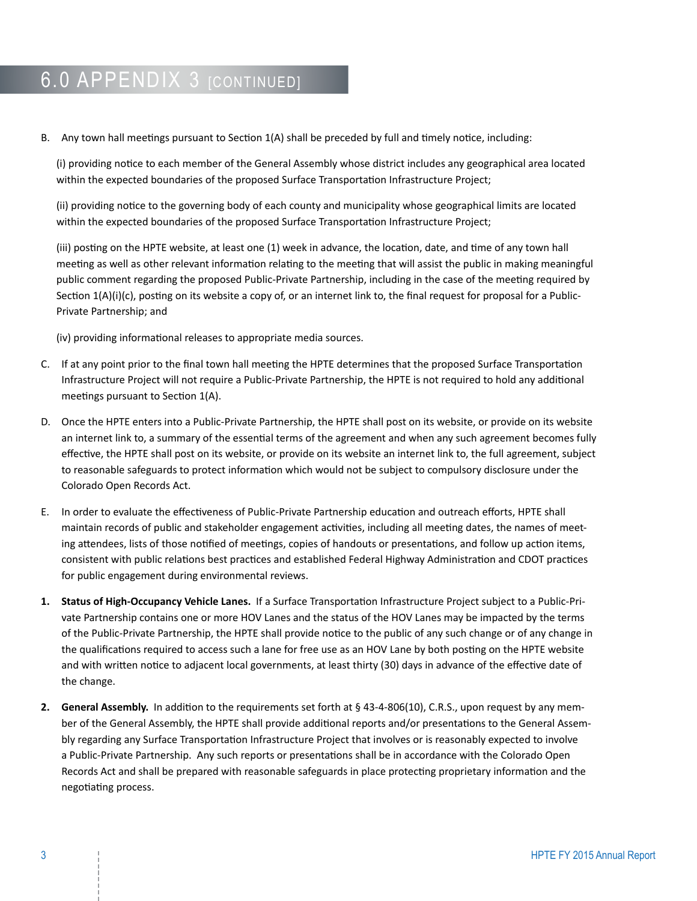## **6.0 APPENDIX 3 [CONTINUED]**

B. Any town hall meetings pursuant to Section 1(A) shall be preceded by full and timely notice, including:

(i) providing notice to each member of the General Assembly whose district includes any geographical area located within the expected boundaries of the proposed Surface Transportation Infrastructure Project;

(ii) providing notice to the governing body of each county and municipality whose geographical limits are located within the expected boundaries of the proposed Surface Transportation Infrastructure Project;

(iii) posting on the HPTE website, at least one (1) week in advance, the location, date, and time of any town hall meeting as well as other relevant information relating to the meeting that will assist the public in making meaningful public comment regarding the proposed Public-Private Partnership, including in the case of the meeting required by Section  $1(A)(i)(c)$ , posting on its website a copy of, or an internet link to, the final request for proposal for a Public-Private Partnership; and

(iv) providing informational releases to appropriate media sources.

- C. If at any point prior to the final town hall meeting the HPTE determines that the proposed Surface Transportation Infrastructure Project will not require a Public-Private Partnership, the HPTE is not required to hold any additional meetings pursuant to Section 1(A).
- D. Once the HPTE enters into a Public-Private Partnership, the HPTE shall post on its website, or provide on its website an internet link to, a summary of the essential terms of the agreement and when any such agreement becomes fully effective, the HPTE shall post on its website, or provide on its website an internet link to, the full agreement, subject to reasonable safeguards to protect information which would not be subject to compulsory disclosure under the Colorado Open Records Act.
- E. In order to evaluate the effectiveness of Public-Private Partnership education and outreach efforts, HPTE shall maintain records of public and stakeholder engagement activities, including all meeting dates, the names of meeting attendees, lists of those notified of meetings, copies of handouts or presentations, and follow up action items, consistent with public relations best practices and established Federal Highway Administration and CDOT practices for public engagement during environmental reviews.
- **1. Status of High-Occupancy Vehicle Lanes.** If a Surface Transportation Infrastructure Project subject to a Public-Private Partnership contains one or more HOV Lanes and the status of the HOV Lanes may be impacted by the terms of the Public-Private Partnership, the HPTE shall provide notice to the public of any such change or of any change in the qualifications required to access such a lane for free use as an HOV Lane by both posting on the HPTE website and with written notice to adjacent local governments, at least thirty (30) days in advance of the effective date of the change.
- **2. General Assembly.** In addition to the requirements set forth at § 43-4-806(10), C.R.S., upon request by any member of the General Assembly, the HPTE shall provide additional reports and/or presentations to the General Assembly regarding any Surface Transportation Infrastructure Project that involves or is reasonably expected to involve a Public-Private Partnership. Any such reports or presentations shall be in accordance with the Colorado Open Records Act and shall be prepared with reasonable safeguards in place protecting proprietary information and the negotiating process.